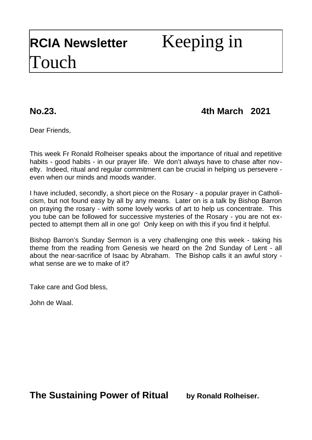# **No.23. 4th March 2021**

Dear Friends,

This week Fr Ronald Rolheiser speaks about the importance of ritual and repetitive habits - good habits - in our prayer life. We don't always have to chase after novelty. Indeed, ritual and regular commitment can be crucial in helping us persevere even when our minds and moods wander.

I have included, secondly, a short piece on the Rosary - a popular prayer in Catholicism, but not found easy by all by any means. Later on is a talk by Bishop Barron on praying the rosary - with some lovely works of art to help us concentrate. This you tube can be followed for successive mysteries of the Rosary - you are not expected to attempt them all in one go! Only keep on with this if you find it helpful.

Bishop Barron's Sunday Sermon is a very challenging one this week - taking his theme from the reading from Genesis we heard on the 2nd Sunday of Lent - all about the near-sacrifice of Isaac by Abraham. The Bishop calls it an awful story what sense are we to make of it?

Take care and God bless,

John de Waal.

**The Sustaining Power of Ritual by Ronald Rolheiser.**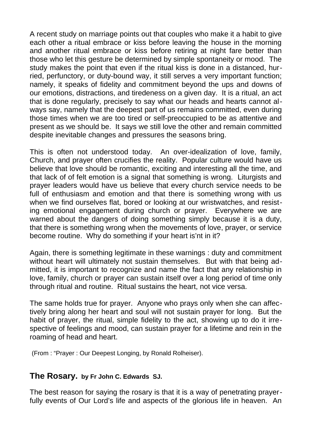A recent study on marriage points out that couples who make it a habit to give each other a ritual embrace or kiss before leaving the house in the morning and another ritual embrace or kiss before retiring at night fare better than those who let this gesture be determined by simple spontaneity or mood. The study makes the point that even if the ritual kiss is done in a distanced, hurried, perfunctory, or duty-bound way, it still serves a very important function; namely, it speaks of fidelity and commitment beyond the ups and downs of our emotions, distractions, and tiredeness on a given day. It is a ritual, an act that is done regularly, precisely to say what our heads and hearts cannot always say, namely that the deepest part of us remains committed, even during those times when we are too tired or self-preoccupied to be as attentive and present as we should be. It says we still love the other and remain committed despite inevitable changes and pressures the seasons bring.

This is often not understood today. An over-idealization of love, family, Church, and prayer often crucifies the reality. Popular culture would have us believe that love should be romantic, exciting and interesting all the time, and that lack of of felt emotion is a signal that something is wrong. Liturgists and prayer leaders would have us believe that every church service needs to be full of enthusiasm and emotion and that there is something wrong with us when we find ourselves flat, bored or looking at our wristwatches, and resisting emotional engagement during church or prayer. Everywhere we are warned about the dangers of doing something simply because it is a duty, that there is something wrong when the movements of love, prayer, or service become routine. Why do something if your heart is'nt in it?

Again, there is something legitimate in these warnings : duty and commitment without heart will ultimately not sustain themselves. But with that being admitted, it is important to recognize and name the fact that any relationship in love, family, church or prayer can sustain itself over a long period of time only through ritual and routine. Ritual sustains the heart, not vice versa.

The same holds true for prayer. Anyone who prays only when she can affectively bring along her heart and soul will not sustain prayer for long. But the habit of prayer, the ritual, simple fidelity to the act, showing up to do it irrespective of feelings and mood, can sustain prayer for a lifetime and rein in the roaming of head and heart.

(From : "Prayer : Our Deepest Longing, by Ronald Rolheiser).

### **The Rosary. by Fr John C. Edwards SJ.**

The best reason for saying the rosary is that it is a way of penetrating prayerfully events of Our Lord's life and aspects of the glorious life in heaven. An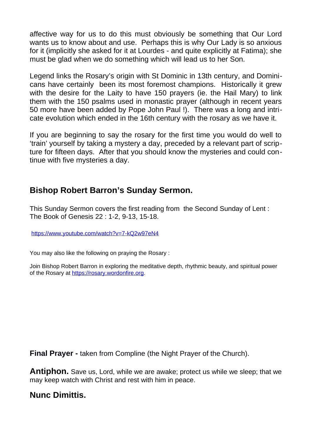affective way for us to do this must obviously be something that Our Lord wants us to know about and use. Perhaps this is why Our Lady is so anxious for it (implicitly she asked for it at Lourdes - and quite explicitly at Fatima); she must be glad when we do something which will lead us to her Son.

Legend links the Rosary's origin with St Dominic in 13th century, and Dominicans have certainly been its most foremost champions. Historically it grew with the desire for the Laity to have 150 prayers (ie. the Hail Mary) to link them with the 150 psalms used in monastic prayer (although in recent years 50 more have been added by Pope John Paul !). There was a long and intricate evolution which ended in the 16th century with the rosary as we have it.

If you are beginning to say the rosary for the first time you would do well to 'train' yourself by taking a mystery a day, preceded by a relevant part of scripture for fifteen days. After that you should know the mysteries and could continue with five mysteries a day.

## **Bishop Robert Barron's Sunday Sermon.**

This Sunday Sermon covers the first reading from the Second Sunday of Lent : The Book of Genesis 22 : 1-2, 9-13, 15-18.

<https://www.youtube.com/watch?v=7-kQ2w97eN4>

You may also like the following on praying the Rosary :

Join Bishop Robert Barron in exploring the meditative depth, rhythmic beauty, and spiritual power of the Rosary at [https://rosary.wordonfire.org](https://rosary.wordonfire.org/).

**Final Prayer - taken from Compline (the Night Prayer of the Church).** 

**Antiphon.** Save us, Lord, while we are awake; protect us while we sleep; that we may keep watch with Christ and rest with him in peace.

## **Nunc Dimittis.**